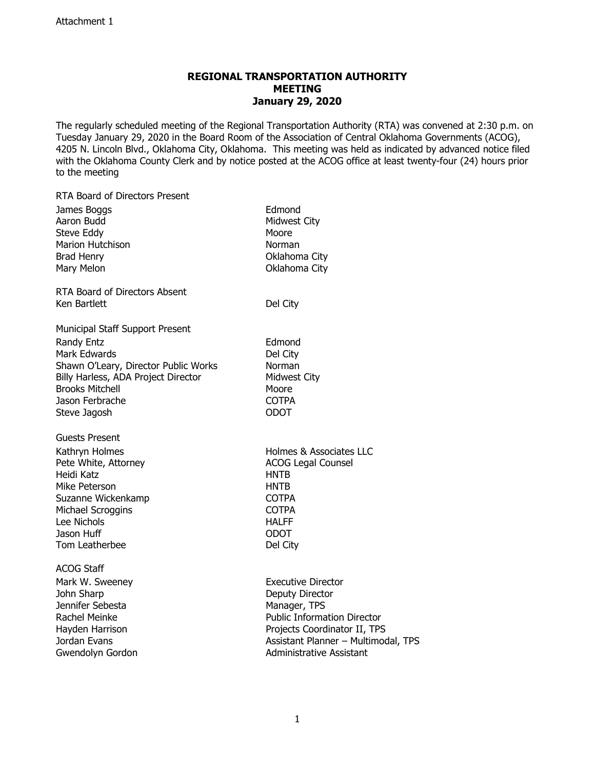## **REGIONAL TRANSPORTATION AUTHORITY MEETING January 29, 2020**

The regularly scheduled meeting of the Regional Transportation Authority (RTA) was convened at 2:30 p.m. on Tuesday January 29, 2020 in the Board Room of the Association of Central Oklahoma Governments (ACOG), 4205 N. Lincoln Blvd., Oklahoma City, Oklahoma. This meeting was held as indicated by advanced notice filed with the Oklahoma County Clerk and by notice posted at the ACOG office at least twenty-four (24) hours prior to the meeting

| <b>RTA Board of Directors Present</b> |                                     |
|---------------------------------------|-------------------------------------|
| James Boggs                           | Edmond                              |
| Aaron Budd                            | Midwest City                        |
| Steve Eddy                            | Moore                               |
| <b>Marion Hutchison</b>               | Norman                              |
| <b>Brad Henry</b>                     | Oklahoma City                       |
| Mary Melon                            | Oklahoma City                       |
| RTA Board of Directors Absent         |                                     |
| Ken Bartlett                          | Del City                            |
| Municipal Staff Support Present       |                                     |
| <b>Randy Entz</b>                     | Edmond                              |
| Mark Edwards                          | Del City                            |
| Shawn O'Leary, Director Public Works  | Norman                              |
| Billy Harless, ADA Project Director   | Midwest City                        |
| <b>Brooks Mitchell</b>                | Moore                               |
| Jason Ferbrache                       | <b>COTPA</b>                        |
| Steve Jagosh                          | <b>ODOT</b>                         |
| Guests Present                        |                                     |
| Kathryn Holmes                        | Holmes & Associates LLC             |
| Pete White, Attorney                  | <b>ACOG Legal Counsel</b>           |
| Heidi Katz                            | HNTB                                |
| Mike Peterson                         | HNTB                                |
| Suzanne Wickenkamp                    | <b>COTPA</b>                        |
| Michael Scroggins                     | <b>COTPA</b>                        |
| Lee Nichols                           | <b>HALFF</b>                        |
| Jason Huff                            | <b>ODOT</b>                         |
| Tom Leatherbee                        | Del City                            |
| <b>ACOG Staff</b>                     |                                     |
| Mark W. Sweeney                       | <b>Executive Director</b>           |
| John Sharp                            | Deputy Director                     |
| Jennifer Sebesta                      | Manager, TPS                        |
| Rachel Meinke                         | <b>Public Information Director</b>  |
| Hayden Harrison                       | Projects Coordinator II, TPS        |
| Jordan Evans                          | Assistant Planner - Multimodal, TPS |
| Gwendolyn Gordon                      | <b>Administrative Assistant</b>     |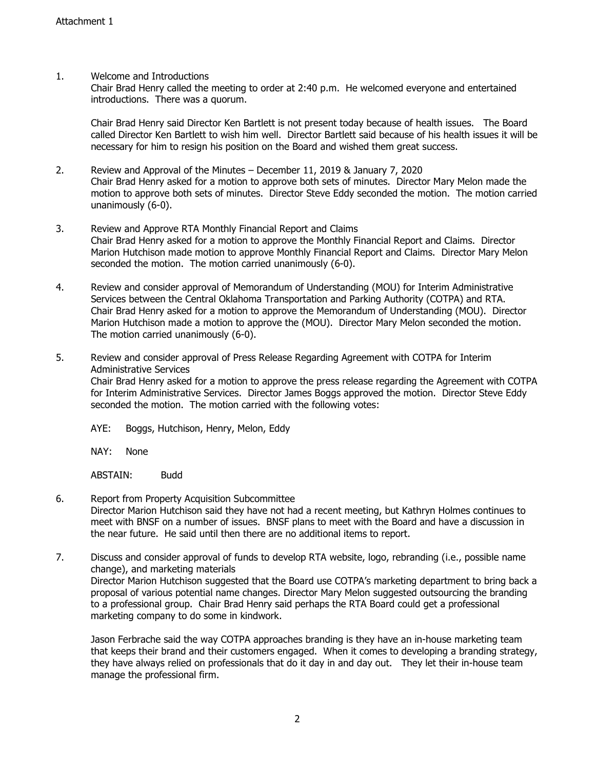## 1. Welcome and Introductions

Chair Brad Henry called the meeting to order at 2:40 p.m. He welcomed everyone and entertained introductions. There was a quorum.

Chair Brad Henry said Director Ken Bartlett is not present today because of health issues. The Board called Director Ken Bartlett to wish him well. Director Bartlett said because of his health issues it will be necessary for him to resign his position on the Board and wished them great success.

- 2. Review and Approval of the Minutes December 11, 2019 & January 7, 2020 Chair Brad Henry asked for a motion to approve both sets of minutes. Director Mary Melon made the motion to approve both sets of minutes. Director Steve Eddy seconded the motion. The motion carried unanimously (6-0).
- 3. Review and Approve RTA Monthly Financial Report and Claims Chair Brad Henry asked for a motion to approve the Monthly Financial Report and Claims. Director Marion Hutchison made motion to approve Monthly Financial Report and Claims. Director Mary Melon seconded the motion. The motion carried unanimously (6-0).
- 4. Review and consider approval of Memorandum of Understanding (MOU) for Interim Administrative Services between the Central Oklahoma Transportation and Parking Authority (COTPA) and RTA. Chair Brad Henry asked for a motion to approve the Memorandum of Understanding (MOU). Director Marion Hutchison made a motion to approve the (MOU). Director Mary Melon seconded the motion. The motion carried unanimously (6-0).
- 5. Review and consider approval of Press Release Regarding Agreement with COTPA for Interim Administrative Services Chair Brad Henry asked for a motion to approve the press release regarding the Agreement with COTPA for Interim Administrative Services. Director James Boggs approved the motion. Director Steve Eddy seconded the motion. The motion carried with the following votes:
	- AYE: Boggs, Hutchison, Henry, Melon, Eddy

NAY: None

ABSTAIN: Budd

- 6. Report from Property Acquisition Subcommittee Director Marion Hutchison said they have not had a recent meeting, but Kathryn Holmes continues to meet with BNSF on a number of issues. BNSF plans to meet with the Board and have a discussion in the near future. He said until then there are no additional items to report.
- 7. Discuss and consider approval of funds to develop RTA website, logo, rebranding (i.e., possible name change), and marketing materials Director Marion Hutchison suggested that the Board use COTPA's marketing department to bring back a proposal of various potential name changes. Director Mary Melon suggested outsourcing the branding to a professional group. Chair Brad Henry said perhaps the RTA Board could get a professional marketing company to do some in kindwork.

Jason Ferbrache said the way COTPA approaches branding is they have an in-house marketing team that keeps their brand and their customers engaged. When it comes to developing a branding strategy, they have always relied on professionals that do it day in and day out. They let their in-house team manage the professional firm.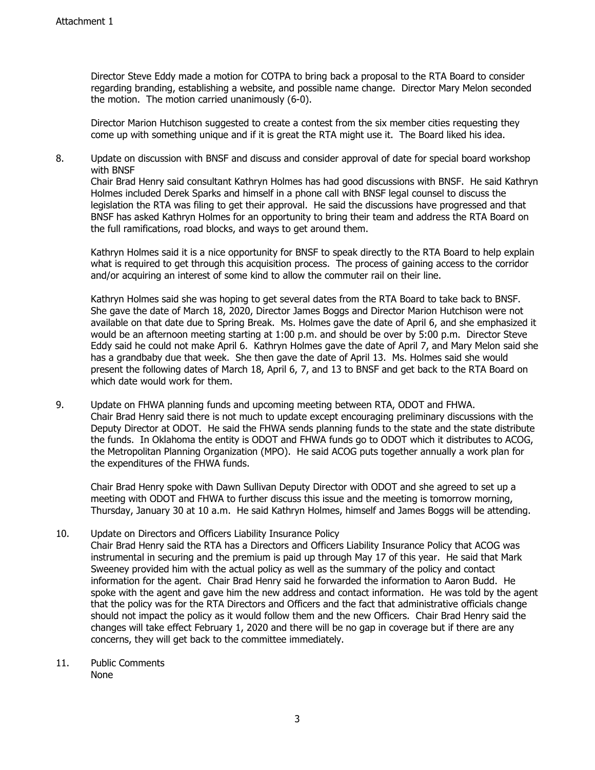Director Steve Eddy made a motion for COTPA to bring back a proposal to the RTA Board to consider regarding branding, establishing a website, and possible name change. Director Mary Melon seconded the motion. The motion carried unanimously (6-0).

Director Marion Hutchison suggested to create a contest from the six member cities requesting they come up with something unique and if it is great the RTA might use it. The Board liked his idea.

8. Update on discussion with BNSF and discuss and consider approval of date for special board workshop with BNSF

Chair Brad Henry said consultant Kathryn Holmes has had good discussions with BNSF. He said Kathryn Holmes included Derek Sparks and himself in a phone call with BNSF legal counsel to discuss the legislation the RTA was filing to get their approval. He said the discussions have progressed and that BNSF has asked Kathryn Holmes for an opportunity to bring their team and address the RTA Board on the full ramifications, road blocks, and ways to get around them.

Kathryn Holmes said it is a nice opportunity for BNSF to speak directly to the RTA Board to help explain what is required to get through this acquisition process. The process of gaining access to the corridor and/or acquiring an interest of some kind to allow the commuter rail on their line.

Kathryn Holmes said she was hoping to get several dates from the RTA Board to take back to BNSF. She gave the date of March 18, 2020, Director James Boggs and Director Marion Hutchison were not available on that date due to Spring Break. Ms. Holmes gave the date of April 6, and she emphasized it would be an afternoon meeting starting at 1:00 p.m. and should be over by 5:00 p.m. Director Steve Eddy said he could not make April 6. Kathryn Holmes gave the date of April 7, and Mary Melon said she has a grandbaby due that week. She then gave the date of April 13. Ms. Holmes said she would present the following dates of March 18, April 6, 7, and 13 to BNSF and get back to the RTA Board on which date would work for them.

9. Update on FHWA planning funds and upcoming meeting between RTA, ODOT and FHWA. Chair Brad Henry said there is not much to update except encouraging preliminary discussions with the Deputy Director at ODOT. He said the FHWA sends planning funds to the state and the state distribute the funds. In Oklahoma the entity is ODOT and FHWA funds go to ODOT which it distributes to ACOG, the Metropolitan Planning Organization (MPO). He said ACOG puts together annually a work plan for the expenditures of the FHWA funds.

Chair Brad Henry spoke with Dawn Sullivan Deputy Director with ODOT and she agreed to set up a meeting with ODOT and FHWA to further discuss this issue and the meeting is tomorrow morning, Thursday, January 30 at 10 a.m. He said Kathryn Holmes, himself and James Boggs will be attending.

## 10. Update on Directors and Officers Liability Insurance Policy

Chair Brad Henry said the RTA has a Directors and Officers Liability Insurance Policy that ACOG was instrumental in securing and the premium is paid up through May 17 of this year. He said that Mark Sweeney provided him with the actual policy as well as the summary of the policy and contact information for the agent. Chair Brad Henry said he forwarded the information to Aaron Budd. He spoke with the agent and gave him the new address and contact information. He was told by the agent that the policy was for the RTA Directors and Officers and the fact that administrative officials change should not impact the policy as it would follow them and the new Officers. Chair Brad Henry said the changes will take effect February 1, 2020 and there will be no gap in coverage but if there are any concerns, they will get back to the committee immediately.

11. Public Comments None